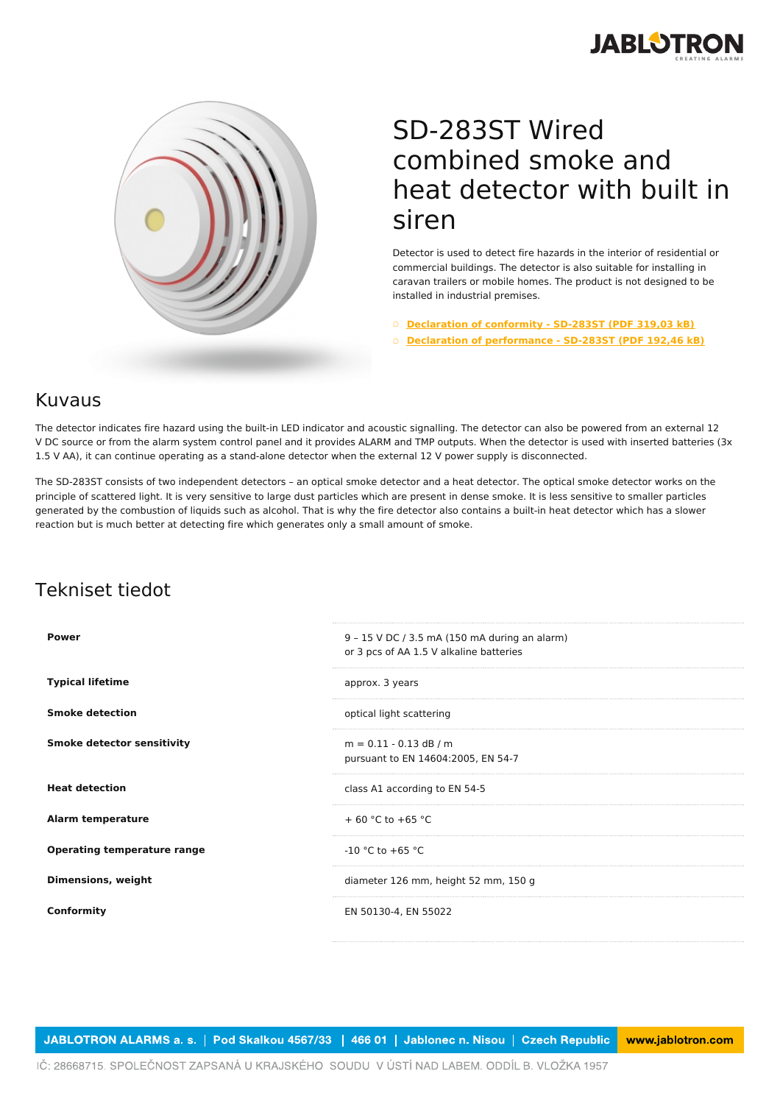



## SD-283ST Wired combined smoke and heat detector with built in siren

Detector is used to detect fire hazards in the interior of residential or commercial buildings. The detector is also suitable for installing in caravan trailers or mobile homes. The product is not designed to be installed in industrial premises.

○ **[Declaration](https://www.jablotron.com/fi/template/product/398/?file=0&jt_id=17767&hash=e5KerE&do=downloadCertificate) of conformity - SD-283ST (PDF 319,03 kB)**

○ **Declaration of [performance](https://www.jablotron.com/fi/template/product/398/?file=1&jt_id=17767&hash=e5KerE&do=downloadCertificate) - SD-283ST (PDF 192,46 kB)**

## Kuvaus

The detector indicates fire hazard using the built-in LED indicator and acoustic signalling. The detector can also be powered from an external 12 V DC source or from the alarm system control panel and it provides ALARM and TMP outputs. When the detector is used with inserted batteries (3x 1.5 V AA), it can continue operating as a stand-alone detector when the external 12 V power supply is disconnected.

The SD-283ST consists of two independent detectors – an optical smoke detector and a heat detector. The optical smoke detector works on the principle of scattered light. It is very sensitive to large dust particles which are present in dense smoke. It is less sensitive to smaller particles generated by the combustion of liquids such as alcohol. That is why the fire detector also contains a built-in heat detector which has a slower reaction but is much better at detecting fire which generates only a small amount of smoke.

## Tekniset tiedot

| <b>Power</b>                       | 9 - 15 V DC / 3.5 mA (150 mA during an alarm)<br>or 3 pcs of AA 1.5 V alkaline batteries |
|------------------------------------|------------------------------------------------------------------------------------------|
| <b>Typical lifetime</b>            | approx. 3 years                                                                          |
| <b>Smoke detection</b>             | optical light scattering                                                                 |
| <b>Smoke detector sensitivity</b>  | $m = 0.11 - 0.13$ dB / m<br>pursuant to EN 14604:2005, EN 54-7                           |
| <b>Heat detection</b>              | class A1 according to EN 54-5                                                            |
| <b>Alarm temperature</b>           | $+60 °C$ to $+65 °C$                                                                     |
| <b>Operating temperature range</b> | $-10$ °C to $+65$ °C                                                                     |
| <b>Dimensions, weight</b>          | diameter 126 mm, height 52 mm, 150 g                                                     |
| Conformity                         | EN 50130-4, EN 55022                                                                     |

JABLOTRON ALARMS a. s. | Pod Skalkou 4567/33 | 466 01 | Jablonec n. Nisou | Czech Republic www.jablotron.com